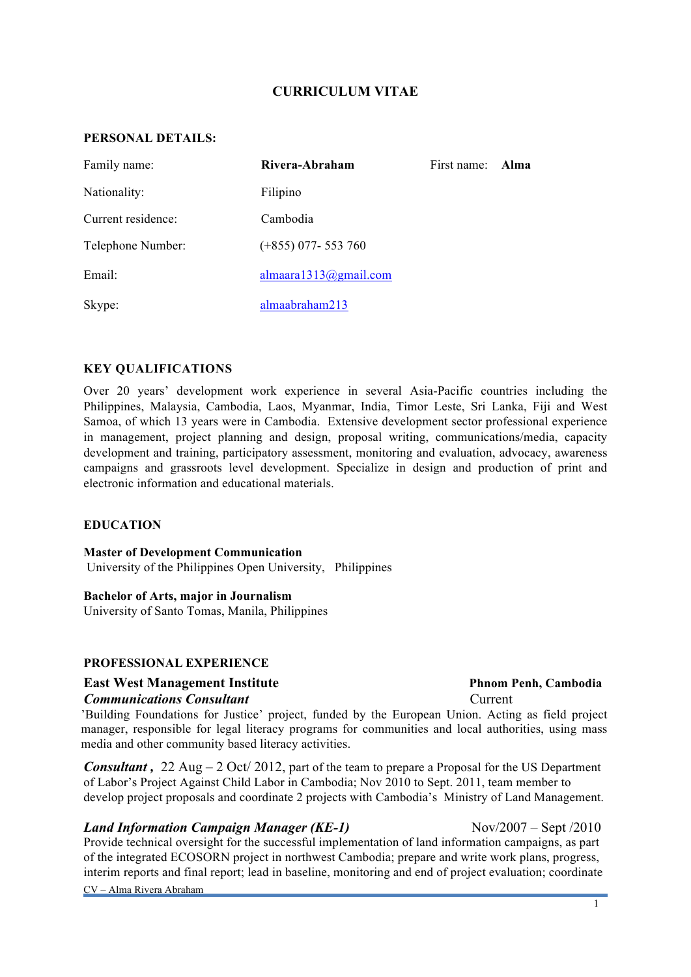# **CURRICULUM VITAE**

### **PERSONAL DETAILS:**

| Family name:       | Rivera-Abraham        | First name: | – Alma |
|--------------------|-----------------------|-------------|--------|
| Nationality:       | Filipino              |             |        |
| Current residence: | Cambodia              |             |        |
| Telephone Number:  | $(+855)$ 077-553 760  |             |        |
| Email:             | almaara1313@gmail.com |             |        |
| Skype:             | almaabraham213        |             |        |

### **KEY QUALIFICATIONS**

Over 20 years' development work experience in several Asia-Pacific countries including the Philippines, Malaysia, Cambodia, Laos, Myanmar, India, Timor Leste, Sri Lanka, Fiji and West Samoa, of which 13 years were in Cambodia. Extensive development sector professional experience in management, project planning and design, proposal writing, communications/media, capacity development and training, participatory assessment, monitoring and evaluation, advocacy, awareness campaigns and grassroots level development. Specialize in design and production of print and electronic information and educational materials.

### **EDUCATION**

**Master of Development Communication** University of the Philippines Open University, Philippines

### **Bachelor of Arts, major in Journalism**

University of Santo Tomas, Manila, Philippines

### **PROFESSIONAL EXPERIENCE**

# **East West Management Institute**  The Phane Phane Penh, Cambodia

### *Communications Consultant* Current

'Building Foundations for Justice' project, funded by the European Union. Acting as field project manager, responsible for legal literacy programs for communities and local authorities, using mass media and other community based literacy activities.

*Consultant*, 22 Aug – 2 Oct/ 2012, part of the team to prepare a Proposal for the US Department of Labor's Project Against Child Labor in Cambodia; Nov 2010 to Sept. 2011, team member to develop project proposals and coordinate 2 projects with Cambodia's Ministry of Land Management.

# *Land Information Campaign Manager (KE-1)* Nov/2007 – Sept /2010

Provide technical oversight for the successful implementation of land information campaigns, as part of the integrated ECOSORN project in northwest Cambodia; prepare and write work plans, progress, interim reports and final report; lead in baseline, monitoring and end of project evaluation; coordinate

CV – Alma Rivera Abraham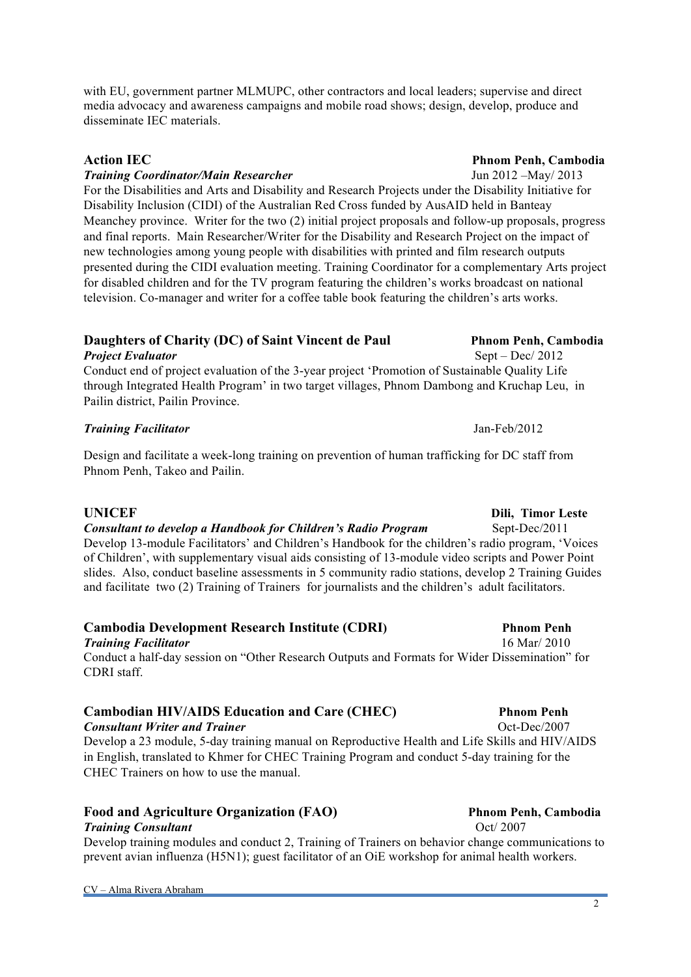with EU, government partner MLMUPC, other contractors and local leaders; supervise and direct media advocacy and awareness campaigns and mobile road shows; design, develop, produce and disseminate IEC materials.

### *Training Coordinator/Main Researcher* Jun 2012 –May/ 2013

For the Disabilities and Arts and Disability and Research Projects under the Disability Initiative for Disability Inclusion (CIDI) of the Australian Red Cross funded by AusAID held in Banteay Meanchey province. Writer for the two (2) initial project proposals and follow-up proposals, progress and final reports. Main Researcher/Writer for the Disability and Research Project on the impact of new technologies among young people with disabilities with printed and film research outputs presented during the CIDI evaluation meeting. Training Coordinator for a complementary Arts project for disabled children and for the TV program featuring the children's works broadcast on national television. Co-manager and writer for a coffee table book featuring the children's arts works.

# **Daughters of Charity (DC) of Saint Vincent de Paul Phnom Penh, Cambodia**

*Project Evaluator* Sept – Dec/ 2012 Conduct end of project evaluation of the 3-year project 'Promotion of Sustainable Quality Life through Integrated Health Program' in two target villages, Phnom Dambong and Kruchap Leu, in Pailin district, Pailin Province.

### *Training Facilitator* Jan-Feb/2012

Design and facilitate a week-long training on prevention of human trafficking for DC staff from Phnom Penh, Takeo and Pailin.

### **UNICEF** Dili, Timor Leste

# *Consultant to develop a Handbook for Children's Radio Program* Sept-Dec/2011

Develop 13-module Facilitators' and Children's Handbook for the children's radio program, 'Voices of Children', with supplementary visual aids consisting of 13-module video scripts and Power Point slides. Also, conduct baseline assessments in 5 community radio stations, develop 2 Training Guides and facilitate two (2) Training of Trainers for journalists and the children's adult facilitators.

# **Cambodia Development Research Institute (CDRI) Phnom Penh**

*Training Facilitator*16 Mar/ 2010 Conduct a half-day session on "Other Research Outputs and Formats for Wider Dissemination" for CDRI staff.

# **Cambodian HIV/AIDS Education and Care (CHEC) Phnom Penh**

**Consultant Writer and Trainer <b>Consultant Writer and Trainer Consultant Media 2007** Develop a 23 module, 5-day training manual on Reproductive Health and Life Skills and HIV/AIDS in English, translated to Khmer for CHEC Training Program and conduct 5-day training for the CHEC Trainers on how to use the manual.

# Food and Agriculture Organization (FAO) Phnom Penh, Cambodia

### **Training Consultant Consultant Oct** 2007

Develop training modules and conduct 2, Training of Trainers on behavior change communications to prevent avian influenza (H5N1); guest facilitator of an OiE workshop for animal health workers.

### **Action IEC** Phnom Penh, Cambodia

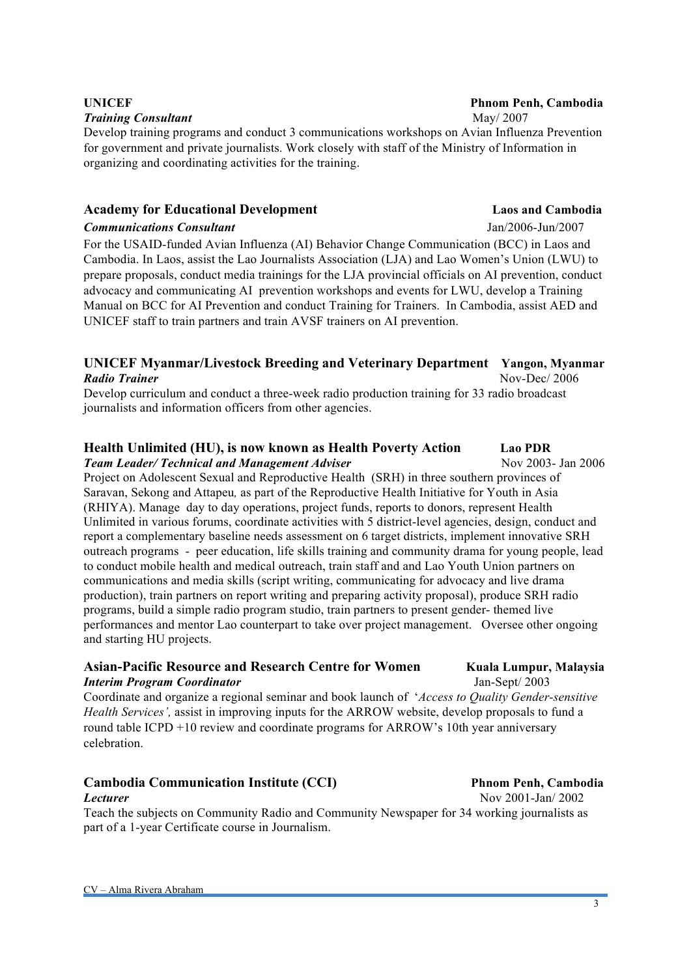### **Training Consultant May** 2007

Develop training programs and conduct 3 communications workshops on Avian Influenza Prevention for government and private journalists. Work closely with staff of the Ministry of Information in organizing and coordinating activities for the training.

# **Academy for Educational Development Laos and Cambodia**

### *Communications Consultant* Jan/2006-Jun/2007

For the USAID-funded Avian Influenza (AI) Behavior Change Communication (BCC) in Laos and Cambodia. In Laos, assist the Lao Journalists Association (LJA) and Lao Women's Union (LWU) to prepare proposals, conduct media trainings for the LJA provincial officials on AI prevention, conduct advocacy and communicating AI prevention workshops and events for LWU, develop a Training Manual on BCC for AI Prevention and conduct Training for Trainers. In Cambodia, assist AED and UNICEF staff to train partners and train AVSF trainers on AI prevention.

# **UNICEF Myanmar/Livestock Breeding and Veterinary Department Yangon, Myanmar** *Radio Trainer* Nov-Dec/ 2006

Develop curriculum and conduct a three-week radio production training for 33 radio broadcast journalists and information officers from other agencies.

### **Health Unlimited (HU), is now known as Health Poverty Action Lao PDR**  *Team Leader/ Technical and Management Adviser Nov 2003-Jan 2006*

Project on Adolescent Sexual and Reproductive Health (SRH) in three southern provinces of Saravan, Sekong and Attapeu*,* as part of the Reproductive Health Initiative for Youth in Asia (RHIYA). Manage day to day operations, project funds, reports to donors, represent Health Unlimited in various forums, coordinate activities with 5 district-level agencies, design, conduct and report a complementary baseline needs assessment on 6 target districts, implement innovative SRH outreach programs - peer education, life skills training and community drama for young people, lead to conduct mobile health and medical outreach, train staff and and Lao Youth Union partners on communications and media skills (script writing, communicating for advocacy and live drama production), train partners on report writing and preparing activity proposal), produce SRH radio programs, build a simple radio program studio, train partners to present gender- themed live performances and mentor Lao counterpart to take over project management. Oversee other ongoing and starting HU projects.

### **Asian-Pacific Resource and Research Centre for Women Kuala Lumpur, Malaysia** *Interim Program Coordinator* Jan-Sept/ 2003

Coordinate and organize a regional seminar and book launch of '*Access to Quality Gender-sensitive Health Services',* assist in improving inputs for the ARROW website, develop proposals to fund a round table ICPD +10 review and coordinate programs for ARROW's 10th year anniversary celebration.

### Cambodia Communication Institute (CCI) **Philade Philade Philade Phnom Penh, Cambodia** *Lecturer* Nov 2001-Jan/ 2002

Teach the subjects on Community Radio and Community Newspaper for 34 working journalists as part of a 1-year Certificate course in Journalism.

3

# **UNICEF** Phnom Penh, Cambodia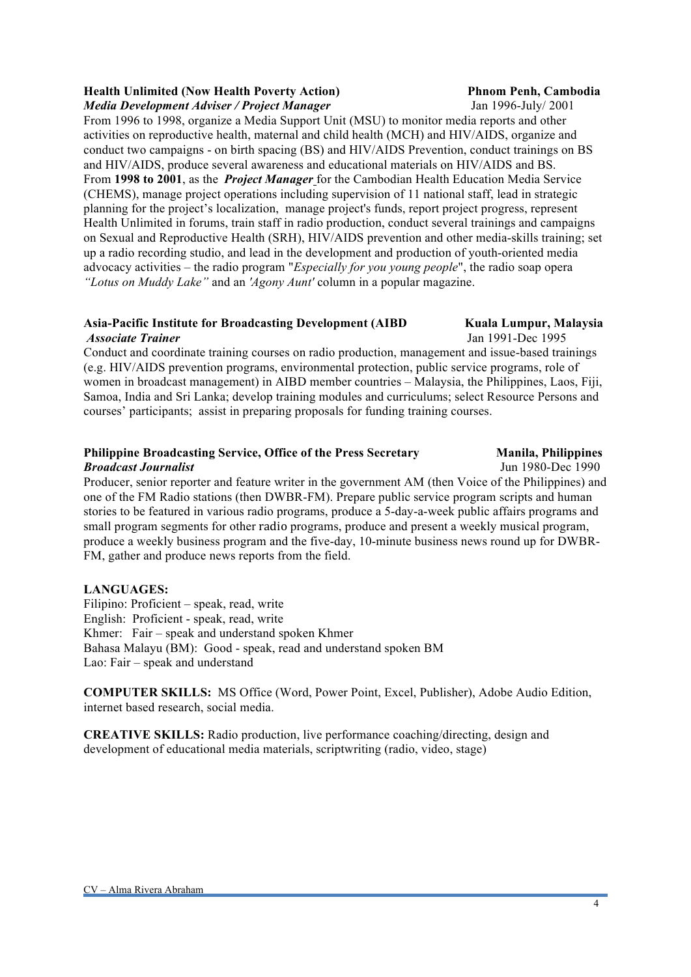### **Health Unlimited (Now Health Poverty Action) Phanel Phnom Penh, Cambodia** *Media Development Adviser / Project Manager* Jan 1996-July/ 2001

From 1996 to 1998, organize a Media Support Unit (MSU) to monitor media reports and other activities on reproductive health, maternal and child health (MCH) and HIV/AIDS, organize and conduct two campaigns - on birth spacing (BS) and HIV/AIDS Prevention, conduct trainings on BS and HIV/AIDS, produce several awareness and educational materials on HIV/AIDS and BS. From **1998 to 2001**, as the *Project Manager* for the Cambodian Health Education Media Service (CHEMS), manage project operations including supervision of 11 national staff, lead in strategic planning for the project's localization, manage project's funds, report project progress, represent Health Unlimited in forums, train staff in radio production, conduct several trainings and campaigns on Sexual and Reproductive Health (SRH), HIV/AIDS prevention and other media-skills training; set up a radio recording studio, and lead in the development and production of youth-oriented media advocacy activities – the radio program "*Especially for you young people*", the radio soap opera *"Lotus on Muddy Lake"* and an *'Agony Aunt'* column in a popular magazine.

### **Asia-Pacific Institute for Broadcasting Development (AIBD Kuala Lumpur, Malaysia**  *Associate Trainer* Jan 1991-Dec 1995

Conduct and coordinate training courses on radio production, management and issue-based trainings (e.g. HIV/AIDS prevention programs, environmental protection, public service programs, role of women in broadcast management) in AIBD member countries – Malaysia, the Philippines, Laos, Fiji, Samoa, India and Sri Lanka; develop training modules and curriculums; select Resource Persons and courses' participants; assist in preparing proposals for funding training courses.

### **Philippine Broadcasting Service, Office of the Press Secretary Manila, Philippines**  *Broadcast Journalist* Jun 1980-Dec 1990

Producer, senior reporter and feature writer in the government AM (then Voice of the Philippines) and one of the FM Radio stations (then DWBR-FM). Prepare public service program scripts and human stories to be featured in various radio programs, produce a 5-day-a-week public affairs programs and small program segments for other radio programs, produce and present a weekly musical program, produce a weekly business program and the five-day, 10-minute business news round up for DWBR-FM, gather and produce news reports from the field.

# **LANGUAGES:**

Filipino: Proficient – speak, read, write English: Proficient - speak, read, write Khmer: Fair – speak and understand spoken Khmer Bahasa Malayu (BM): Good - speak, read and understand spoken BM Lao: Fair – speak and understand

**COMPUTER SKILLS:** MS Office (Word, Power Point, Excel, Publisher), Adobe Audio Edition, internet based research, social media.

**CREATIVE SKILLS:** Radio production, live performance coaching/directing, design and development of educational media materials, scriptwriting (radio, video, stage)